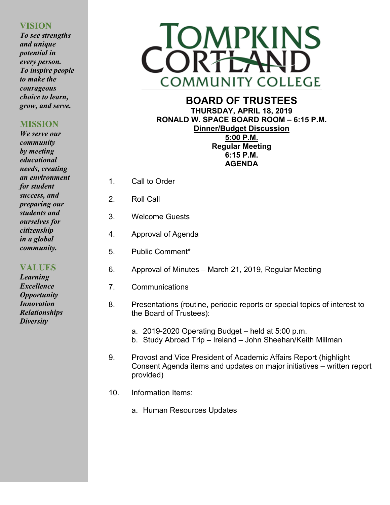# **VISION**

*To see strengths and unique potential in every person. To inspire people to make the courageous choice to learn, grow, and serve.*

# **MISSION**

*We serve our community by meeting educational needs, creating an environment for student success, and preparing our students and ourselves for citizenship in a global community.*

**VALUES**

*Learning Excellence Opportunity Innovation Relationships Diversity*



# **BOARD OF TRUSTEES THURSDAY, APRIL 18, 2019 RONALD W. SPACE BOARD ROOM – 6:15 P.M. Dinner/Budget Discussion 5:00 P.M. Regular Meeting**

**6:15 P.M. AGENDA**

- 1. Call to Order
- 2. Roll Call
- 3. Welcome Guests
- 4. Approval of Agenda
- 5. Public Comment\*
- 6. Approval of Minutes March 21, 2019, Regular Meeting
- 7. Communications
- 8. Presentations (routine, periodic reports or special topics of interest to the Board of Trustees):
	- a. 2019-2020 Operating Budget held at 5:00 p.m.
	- b. Study Abroad Trip Ireland John Sheehan/Keith Millman
- 9. Provost and Vice President of Academic Affairs Report (highlight Consent Agenda items and updates on major initiatives – written report provided)
- 10. Information Items:
	- a. Human Resources Updates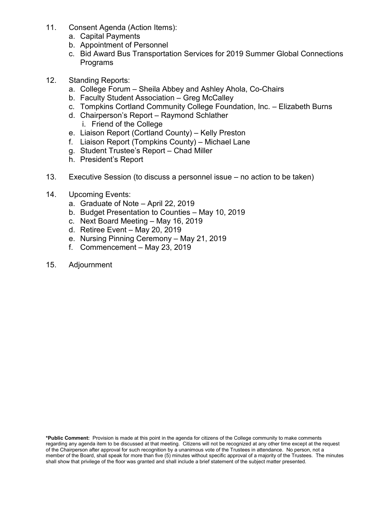- 11. Consent Agenda (Action Items):
	- a. Capital Payments
	- b. Appointment of Personnel
	- c. Bid Award Bus Transportation Services for 2019 Summer Global Connections Programs
- 12. Standing Reports:
	- a. College Forum Sheila Abbey and Ashley Ahola, Co-Chairs
	- b. Faculty Student Association Greg McCalley
	- c. Tompkins Cortland Community College Foundation, Inc. Elizabeth Burns
	- d. Chairperson's Report Raymond Schlather i. Friend of the College
	- e. Liaison Report (Cortland County) Kelly Preston
	- f. Liaison Report (Tompkins County) Michael Lane
	- g. Student Trustee's Report Chad Miller
	- h. President's Report
- 13. Executive Session (to discuss a personnel issue no action to be taken)
- 14. Upcoming Events:
	- a. Graduate of Note April 22, 2019
	- b. Budget Presentation to Counties May 10, 2019
	- c. Next Board Meeting May 16, 2019
	- d. Retiree Event May 20, 2019
	- e. Nursing Pinning Ceremony May 21, 2019
	- f. Commencement May 23, 2019
- 15. Adjournment

**\*Public Comment:** Provision is made at this point in the agenda for citizens of the College community to make comments regarding any agenda item to be discussed at that meeting. Citizens will not be recognized at any other time except at the request of the Chairperson after approval for such recognition by a unanimous vote of the Trustees in attendance. No person, not a member of the Board, shall speak for more than five (5) minutes without specific approval of a majority of the Trustees. The minutes shall show that privilege of the floor was granted and shall include a brief statement of the subject matter presented.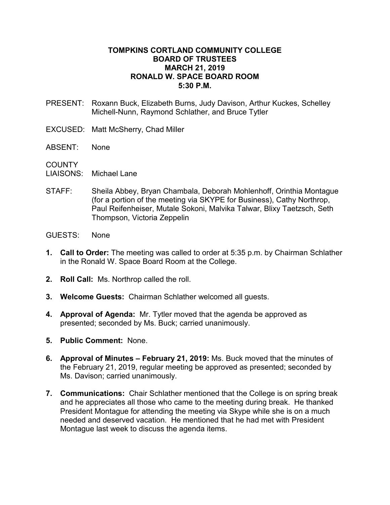### **TOMPKINS CORTLAND COMMUNITY COLLEGE BOARD OF TRUSTEES MARCH 21, 2019 RONALD W. SPACE BOARD ROOM 5:30 P.M.**

- PRESENT: Roxann Buck, Elizabeth Burns, Judy Davison, Arthur Kuckes, Schelley Michell-Nunn, Raymond Schlather, and Bruce Tytler
- EXCUSED: Matt McSherry, Chad Miller
- ABSENT: None

**COUNTY** 

- LIAISONS: Michael Lane
- STAFF: Sheila Abbey, Bryan Chambala, Deborah Mohlenhoff, Orinthia Montague (for a portion of the meeting via SKYPE for Business), Cathy Northrop, Paul Reifenheiser, Mutale Sokoni, Malvika Talwar, Blixy Taetzsch, Seth Thompson, Victoria Zeppelin
- GUESTS: None
- **1. Call to Order:** The meeting was called to order at 5:35 p.m. by Chairman Schlather in the Ronald W. Space Board Room at the College.
- **2. Roll Call:** Ms. Northrop called the roll.
- **3. Welcome Guests:** Chairman Schlather welcomed all guests.
- **4. Approval of Agenda:** Mr. Tytler moved that the agenda be approved as presented; seconded by Ms. Buck; carried unanimously.
- **5. Public Comment:** None.
- **6. Approval of Minutes – February 21, 2019:** Ms. Buck moved that the minutes of the February 21, 2019, regular meeting be approved as presented; seconded by Ms. Davison; carried unanimously.
- **7. Communications:** Chair Schlather mentioned that the College is on spring break and he appreciates all those who came to the meeting during break. He thanked President Montague for attending the meeting via Skype while she is on a much needed and deserved vacation. He mentioned that he had met with President Montague last week to discuss the agenda items.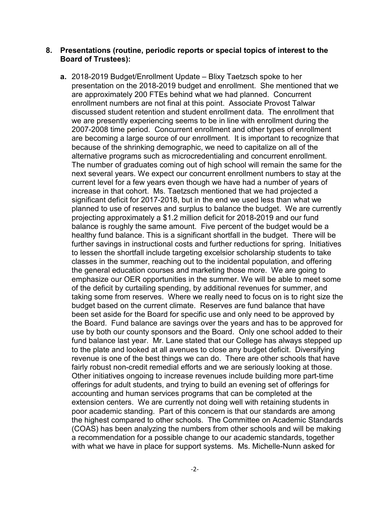#### **8. Presentations (routine, periodic reports or special topics of interest to the Board of Trustees):**

**a.** 2018-2019 Budget/Enrollment Update – Blixy Taetzsch spoke to her presentation on the 2018-2019 budget and enrollment. She mentioned that we are approximately 200 FTEs behind what we had planned. Concurrent enrollment numbers are not final at this point. Associate Provost Talwar discussed student retention and student enrollment data. The enrollment that we are presently experiencing seems to be in line with enrollment during the 2007-2008 time period. Concurrent enrollment and other types of enrollment are becoming a large source of our enrollment. It is important to recognize that because of the shrinking demographic, we need to capitalize on all of the alternative programs such as microcredentialing and concurrent enrollment. The number of graduates coming out of high school will remain the same for the next several years. We expect our concurrent enrollment numbers to stay at the current level for a few years even though we have had a number of years of increase in that cohort. Ms. Taetzsch mentioned that we had projected a significant deficit for 2017-2018, but in the end we used less than what we planned to use of reserves and surplus to balance the budget. We are currently projecting approximately a \$1.2 million deficit for 2018-2019 and our fund balance is roughly the same amount. Five percent of the budget would be a healthy fund balance. This is a significant shortfall in the budget. There will be further savings in instructional costs and further reductions for spring. Initiatives to lessen the shortfall include targeting excelsior scholarship students to take classes in the summer, reaching out to the incidental population, and offering the general education courses and marketing those more. We are going to emphasize our OER opportunities in the summer. We will be able to meet some of the deficit by curtailing spending, by additional revenues for summer, and taking some from reserves. Where we really need to focus on is to right size the budget based on the current climate. Reserves are fund balance that have been set aside for the Board for specific use and only need to be approved by the Board. Fund balance are savings over the years and has to be approved for use by both our county sponsors and the Board. Only one school added to their fund balance last year. Mr. Lane stated that our College has always stepped up to the plate and looked at all avenues to close any budget deficit. Diversifying revenue is one of the best things we can do. There are other schools that have fairly robust non-credit remedial efforts and we are seriously looking at those. Other initiatives ongoing to increase revenues include building more part-time offerings for adult students, and trying to build an evening set of offerings for accounting and human services programs that can be completed at the extension centers. We are currently not doing well with retaining students in poor academic standing. Part of this concern is that our standards are among the highest compared to other schools. The Committee on Academic Standards (COAS) has been analyzing the numbers from other schools and will be making a recommendation for a possible change to our academic standards, together with what we have in place for support systems. Ms. Michelle-Nunn asked for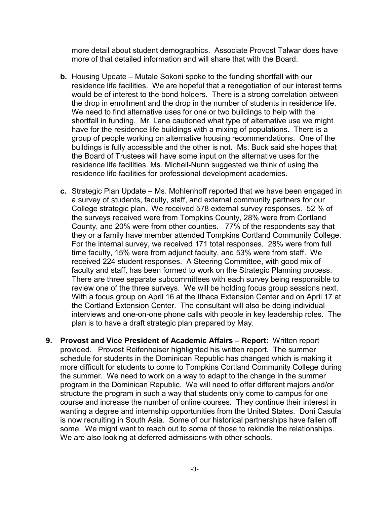more detail about student demographics. Associate Provost Talwar does have more of that detailed information and will share that with the Board.

- **b.** Housing Update Mutale Sokoni spoke to the funding shortfall with our residence life facilities. We are hopeful that a renegotiation of our interest terms would be of interest to the bond holders. There is a strong correlation between the drop in enrollment and the drop in the number of students in residence life. We need to find alternative uses for one or two buildings to help with the shortfall in funding. Mr. Lane cautioned what type of alternative use we might have for the residence life buildings with a mixing of populations. There is a group of people working on alternative housing recommendations. One of the buildings is fully accessible and the other is not. Ms. Buck said she hopes that the Board of Trustees will have some input on the alternative uses for the residence life facilities. Ms. Michell-Nunn suggested we think of using the residence life facilities for professional development academies.
- **c.** Strategic Plan Update Ms. Mohlenhoff reported that we have been engaged in a survey of students, faculty, staff, and external community partners for our College strategic plan. We received 578 external survey responses. 52 % of the surveys received were from Tompkins County, 28% were from Cortland County, and 20% were from other counties. 77% of the respondents say that they or a family have member attended Tompkins Cortland Community College. For the internal survey, we received 171 total responses. 28% were from full time faculty, 15% were from adjunct faculty, and 53% were from staff. We received 224 student responses. A Steering Committee, with good mix of faculty and staff, has been formed to work on the Strategic Planning process. There are three separate subcommittees with each survey being responsible to review one of the three surveys. We will be holding focus group sessions next. With a focus group on April 16 at the Ithaca Extension Center and on April 17 at the Cortland Extension Center. The consultant will also be doing individual interviews and one-on-one phone calls with people in key leadership roles. The plan is to have a draft strategic plan prepared by May.
- **9. Provost and Vice President of Academic Affairs – Report:** Written report provided. Provost Reifenheiser highlighted his written report. The summer schedule for students in the Dominican Republic has changed which is making it more difficult for students to come to Tompkins Cortland Community College during the summer. We need to work on a way to adapt to the change in the summer program in the Dominican Republic. We will need to offer different majors and/or structure the program in such a way that students only come to campus for one course and increase the number of online courses. They continue their interest in wanting a degree and internship opportunities from the United States. Doni Casula is now recruiting in South Asia. Some of our historical partnerships have fallen off some. We might want to reach out to some of those to rekindle the relationships. We are also looking at deferred admissions with other schools.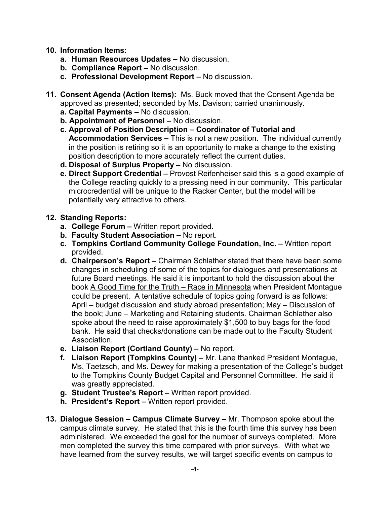# **10. Information Items:**

- **a. Human Resources Updates –** No discussion.
- **b. Compliance Report –** No discussion.
- **c. Professional Development Report –** No discussion.
- **11. Consent Agenda (Action Items):** Ms. Buck moved that the Consent Agenda be approved as presented; seconded by Ms. Davison; carried unanimously.
	- **a. Capital Payments –** No discussion.
	- **b. Appointment of Personnel –** No discussion.
	- **c. Approval of Position Description – Coordinator of Tutorial and Accommodation Services –** This is not a new position. The individual currently in the position is retiring so it is an opportunity to make a change to the existing position description to more accurately reflect the current duties.
	- **d. Disposal of Surplus Property –** No discussion.
	- **e. Direct Support Credential –** Provost Reifenheiser said this is a good example of the College reacting quickly to a pressing need in our community. This particular microcredential will be unique to the Racker Center, but the model will be potentially very attractive to others.

# **12. Standing Reports:**

- **a. College Forum –** Written report provided.
- **b. Faculty Student Association –** No report.
- **c. Tompkins Cortland Community College Foundation, Inc. –** Written report provided.
- **d. Chairperson's Report –** Chairman Schlather stated that there have been some changes in scheduling of some of the topics for dialogues and presentations at future Board meetings. He said it is important to hold the discussion about the book A Good Time for the Truth – Race in Minnesota when President Montague could be present. A tentative schedule of topics going forward is as follows: April – budget discussion and study abroad presentation; May – Discussion of the book; June – Marketing and Retaining students. Chairman Schlather also spoke about the need to raise approximately \$1,500 to buy bags for the food bank. He said that checks/donations can be made out to the Faculty Student Association.
- **e. Liaison Report (Cortland County) –** No report.
- **f. Liaison Report (Tompkins County) –** Mr. Lane thanked President Montague, Ms. Taetzsch, and Ms. Dewey for making a presentation of the College's budget to the Tompkins County Budget Capital and Personnel Committee. He said it was greatly appreciated.
- **g. Student Trustee's Report –** Written report provided.
- **h. President's Report –** Written report provided.
- **13. Dialogue Session – Campus Climate Survey –** Mr. Thompson spoke about the campus climate survey. He stated that this is the fourth time this survey has been administered. We exceeded the goal for the number of surveys completed. More men completed the survey this time compared with prior surveys. With what we have learned from the survey results, we will target specific events on campus to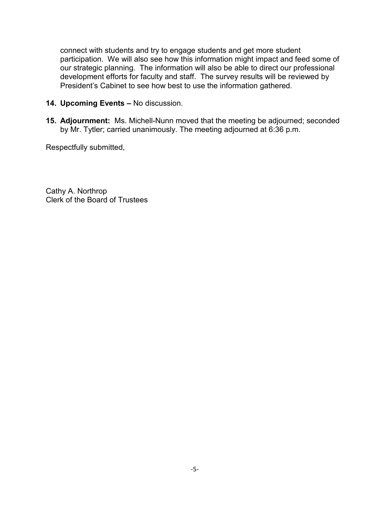connect with students and try to engage students and get more student participation. We will also see how this information might impact and feed some of our strategic planning. The information will also be able to direct our professional development efforts for faculty and staff. The survey results will be reviewed by President's Cabinet to see how best to use the information gathered.

- **14. Upcoming Events –** No discussion.
- **15. Adjournment:** Ms. Michell-Nunn moved that the meeting be adjourned; seconded by Mr. Tytler; carried unanimously. The meeting adjourned at 6:36 p.m.

Respectfully submitted,

Cathy A. Northrop Clerk of the Board of Trustees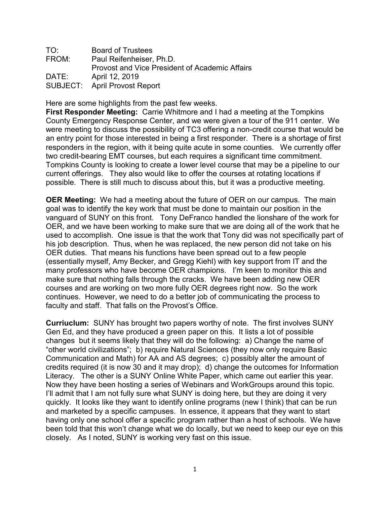| TO:   | <b>Board of Trustees</b>                              |
|-------|-------------------------------------------------------|
| FROM: | Paul Reifenheiser, Ph.D.                              |
|       | <b>Provost and Vice President of Academic Affairs</b> |
| DATE: | April 12, 2019                                        |
|       | <b>SUBJECT:</b> April Provost Report                  |

Here are some highlights from the past few weeks.

**First Responder Meeting:** Carrie Whitmore and I had a meeting at the Tompkins County Emergency Response Center, and we were given a tour of the 911 center. We were meeting to discuss the possibility of TC3 offering a non-credit course that would be an entry point for those interested in being a first responder. There is a shortage of first responders in the region, with it being quite acute in some counties. We currently offer two credit-bearing EMT courses, but each requires a significant time commitment. Tompkins County is looking to create a lower level course that may be a pipeline to our current offerings. They also would like to offer the courses at rotating locations if possible. There is still much to discuss about this, but it was a productive meeting.

**OER Meeting:** We had a meeting about the future of OER on our campus. The main goal was to identify the key work that must be done to maintain our position in the vanguard of SUNY on this front. Tony DeFranco handled the lionshare of the work for OER, and we have been working to make sure that we are doing all of the work that he used to accomplish. One issue is that the work that Tony did was not specifically part of his job description. Thus, when he was replaced, the new person did not take on his OER duties. That means his functions have been spread out to a few people (essentially myself, Amy Becker, and Gregg Kiehl) with key support from IT and the many professors who have become OER champions. I'm keen to monitor this and make sure that nothing falls through the cracks. We have been adding new OER courses and are working on two more fully OER degrees right now. So the work continues. However, we need to do a better job of communicating the process to faculty and staff. That falls on the Provost's Office.

**Curriuclum:** SUNY has brought two papers worthy of note. The first involves SUNY Gen Ed, and they have produced a green paper on this. It lists a lot of possible changes but it seems likely that they will do the following: a) Change the name of "other world civilizations"; b) require Natural Sciences (they now only require Basic Communication and Math) for AA and AS degrees; c) possibly alter the amount of credits required (it is now 30 and it may drop); d) change the outcomes for Information Literacy. The other is a SUNY Online White Paper, which came out earlier this year. Now they have been hosting a series of Webinars and WorkGroups around this topic. I'll admit that I am not fully sure what SUNY is doing here, but they are doing it very quickly. It looks like they want to identify online programs (new I think) that can be run and marketed by a specific campuses. In essence, it appears that they want to start having only one school offer a specific program rather than a host of schools. We have been told that this won't change what we do locally, but we need to keep our eye on this closely. As I noted, SUNY is working very fast on this issue.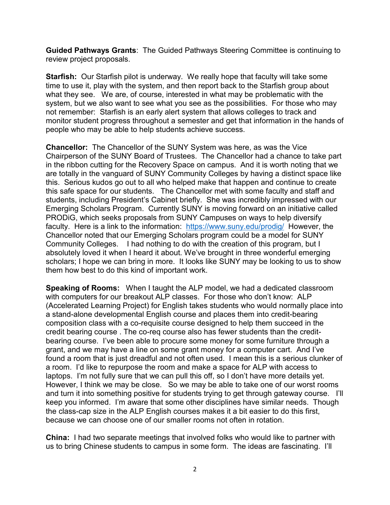**Guided Pathways Grants**: The Guided Pathways Steering Committee is continuing to review project proposals.

**Starfish:** Our Starfish pilot is underway. We really hope that faculty will take some time to use it, play with the system, and then report back to the Starfish group about what they see. We are, of course, interested in what may be problematic with the system, but we also want to see what you see as the possibilities. For those who may not remember: Starfish is an early alert system that allows colleges to track and monitor student progress throughout a semester and get that information in the hands of people who may be able to help students achieve success.

**Chancellor:** The Chancellor of the SUNY System was here, as was the Vice Chairperson of the SUNY Board of Trustees. The Chancellor had a chance to take part in the ribbon cutting for the Recovery Space on campus. And it is worth noting that we are totally in the vanguard of SUNY Community Colleges by having a distinct space like this. Serious kudos go out to all who helped make that happen and continue to create this safe space for our students. The Chancellor met with some faculty and staff and students, including President's Cabinet briefly. She was incredibly impressed with our Emerging Scholars Program. Currently SUNY is moving forward on an initiative called PRODiG, which seeks proposals from SUNY Campuses on ways to help diversify faculty. Here is a link to the information: <https://www.suny.edu/prodig/>However, the Chancellor noted that our Emerging Scholars program could be a model for SUNY Community Colleges. I had nothing to do with the creation of this program, but I absolutely loved it when I heard it about. We've brought in three wonderful emerging scholars; I hope we can bring in more. It looks like SUNY may be looking to us to show them how best to do this kind of important work.

**Speaking of Rooms:** When I taught the ALP model, we had a dedicated classroom with computers for our breakout ALP classes. For those who don't know: ALP (Accelerated Learning Project) for English takes students who would normally place into a stand-alone developmental English course and places them into credit-bearing composition class with a co-requisite course designed to help them succeed in the credit bearing course . The co-req course also has fewer students than the creditbearing course. I've been able to procure some money for some furniture through a grant, and we may have a line on some grant money for a computer cart. And I've found a room that is just dreadful and not often used. I mean this is a serious clunker of a room. I'd like to repurpose the room and make a space for ALP with access to laptops. I'm not fully sure that we can pull this off, so I don't have more details yet. However, I think we may be close. So we may be able to take one of our worst rooms and turn it into something positive for students trying to get through gateway course. I'll keep you informed. I'm aware that some other disciplines have similar needs. Though the class-cap size in the ALP English courses makes it a bit easier to do this first, because we can choose one of our smaller rooms not often in rotation.

**China:** I had two separate meetings that involved folks who would like to partner with us to bring Chinese students to campus in some form. The ideas are fascinating. I'll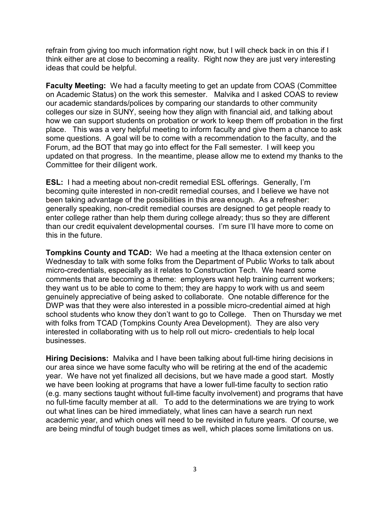refrain from giving too much information right now, but I will check back in on this if I think either are at close to becoming a reality. Right now they are just very interesting ideas that could be helpful.

**Faculty Meeting:** We had a faculty meeting to get an update from COAS (Committee on Academic Status) on the work this semester. Malvika and I asked COAS to review our academic standards/polices by comparing our standards to other community colleges our size in SUNY, seeing how they align with financial aid, and talking about how we can support students on probation or work to keep them off probation in the first place. This was a very helpful meeting to inform faculty and give them a chance to ask some questions. A goal will be to come with a recommendation to the faculty, and the Forum, ad the BOT that may go into effect for the Fall semester. I will keep you updated on that progress. In the meantime, please allow me to extend my thanks to the Committee for their diligent work.

**ESL:** I had a meeting about non-credit remedial ESL offerings. Generally, I'm becoming quite interested in non-credit remedial courses, and I believe we have not been taking advantage of the possibilities in this area enough. As a refresher: generally speaking, non-credit remedial courses are designed to get people ready to enter college rather than help them during college already; thus so they are different than our credit equivalent developmental courses. I'm sure I'll have more to come on this in the future.

**Tompkins County and TCAD:** We had a meeting at the Ithaca extension center on Wednesday to talk with some folks from the Department of Public Works to talk about micro-credentials, especially as it relates to Construction Tech. We heard some comments that are becoming a theme: employers want help training current workers; they want us to be able to come to them; they are happy to work with us and seem genuinely appreciative of being asked to collaborate. One notable difference for the DWP was that they were also interested in a possible micro-credential aimed at high school students who know they don't want to go to College. Then on Thursday we met with folks from TCAD (Tompkins County Area Development). They are also very interested in collaborating with us to help roll out micro- credentials to help local businesses.

**Hiring Decisions:** Malvika and I have been talking about full-time hiring decisions in our area since we have some faculty who will be retiring at the end of the academic year. We have not yet finalized all decisions, but we have made a good start. Mostly we have been looking at programs that have a lower full-time faculty to section ratio (e.g. many sections taught without full-time faculty involvement) and programs that have no full-time faculty member at all. To add to the determinations we are trying to work out what lines can be hired immediately, what lines can have a search run next academic year, and which ones will need to be revisited in future years. Of course, we are being mindful of tough budget times as well, which places some limitations on us.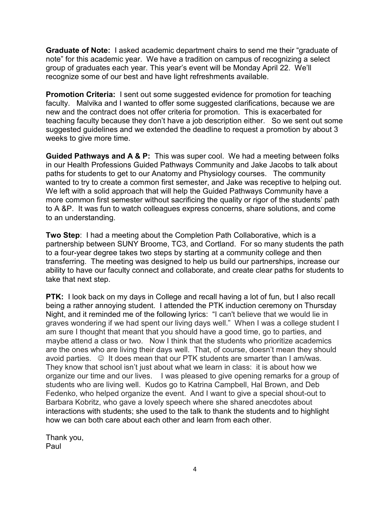**Graduate of Note:** I asked academic department chairs to send me their "graduate of note" for this academic year. We have a tradition on campus of recognizing a select group of graduates each year. This year's event will be Monday April 22. We'll recognize some of our best and have light refreshments available.

**Promotion Criteria:** I sent out some suggested evidence for promotion for teaching faculty. Malvika and I wanted to offer some suggested clarifications, because we are new and the contract does not offer criteria for promotion. This is exacerbated for teaching faculty because they don't have a job description either. So we sent out some suggested guidelines and we extended the deadline to request a promotion by about 3 weeks to give more time.

**Guided Pathways and A & P:** This was super cool. We had a meeting between folks in our Health Professions Guided Pathways Community and Jake Jacobs to talk about paths for students to get to our Anatomy and Physiology courses. The community wanted to try to create a common first semester, and Jake was receptive to helping out. We left with a solid approach that will help the Guided Pathways Community have a more common first semester without sacrificing the quality or rigor of the students' path to A &P. It was fun to watch colleagues express concerns, share solutions, and come to an understanding.

**Two Step**: I had a meeting about the Completion Path Collaborative, which is a partnership between SUNY Broome, TC3, and Cortland. For so many students the path to a four-year degree takes two steps by starting at a community college and then transferring. The meeting was designed to help us build our partnerships, increase our ability to have our faculty connect and collaborate, and create clear paths for students to take that next step.

**PTK:** I look back on my days in College and recall having a lot of fun, but I also recall being a rather annoying student. I attended the PTK induction ceremony on Thursday Night, and it reminded me of the following lyrics: "I can't believe that we would lie in graves wondering if we had spent our living days well." When I was a college student I am sure I thought that meant that you should have a good time, go to parties, and maybe attend a class or two. Now I think that the students who prioritize academics are the ones who are living their days well. That, of course, doesn't mean they should avoid parties.  $\odot$  It does mean that our PTK students are smarter than I am/was. They know that school isn't just about what we learn in class: it is about how we organize our time and our lives. I was pleased to give opening remarks for a group of students who are living well. Kudos go to Katrina Campbell, Hal Brown, and Deb Fedenko, who helped organize the event. And I want to give a special shout-out to Barbara Kobritz, who gave a lovely speech where she shared anecdotes about interactions with students; she used to the talk to thank the students and to highlight how we can both care about each other and learn from each other.

Thank you, Paul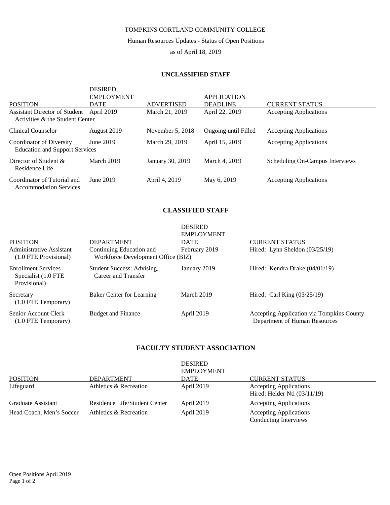#### TOMPKINS CORTLAND COMMUNITY COLLEGE

Human Resources Updates - Status of Open Positions

as of April 18, 2019

#### **UNCLASSIFIED STAFF**

DESIRED

|                                                                   | DESIRED<br><b>EMPLOYMENT</b> |                                     | <b>APPLICATION</b>                |                                                        |
|-------------------------------------------------------------------|------------------------------|-------------------------------------|-----------------------------------|--------------------------------------------------------|
| <b>POSITION</b><br><b>Assistant Director of Student</b>           | <b>DATE</b><br>April 2019    | <b>ADVERTISED</b><br>March 21, 2019 | <b>DEADLINE</b><br>April 22, 2019 | <b>CURRENT STATUS</b><br><b>Accepting Applications</b> |
| Activities & the Student Center                                   |                              |                                     |                                   |                                                        |
| Clinical Counselor                                                | August 2019                  | November 5, 2018                    | Ongoing until Filled              | <b>Accepting Applications</b>                          |
| Coordinator of Diversity<br><b>Education and Support Services</b> | June 2019                    | March 29, 2019                      | April 15, 2019                    | <b>Accepting Applications</b>                          |
| Director of Student $\&$<br>Residence Life                        | March 2019                   | January 30, 2019                    | March 4, 2019                     | Scheduling On-Campus Interviews                        |
| Coordinator of Tutorial and<br><b>Accommodation Services</b>      | June 2019                    | April 4, 2019                       | May 6, 2019                       | <b>Accepting Applications</b>                          |

#### **CLASSIFIED STAFF**

|                                                                   |                                                                | <b>DESIRED</b>    |                                                                            |
|-------------------------------------------------------------------|----------------------------------------------------------------|-------------------|----------------------------------------------------------------------------|
|                                                                   |                                                                | <b>EMPLOYMENT</b> |                                                                            |
| POSITION                                                          | <b>DEPARTMENT</b>                                              | <b>DATE</b>       | <b>CURRENT STATUS</b>                                                      |
| Administrative Assistant<br>(1.0 FTE Provisional)                 | Continuing Education and<br>Workforce Development Office (BIZ) | February 2019     | Hired: Lynn Sheldon $(03/25/19)$                                           |
| <b>Enrollment Services</b><br>Specialist (1.0 FTE<br>Provisional) | Student Success: Advising,<br>Career and Transfer              | January 2019      | Hired: Kendra Drake (04/01/19)                                             |
| Secretary<br>$(1.0$ FTE Temporary)                                | <b>Baker Center for Learning</b>                               | March 2019        | Hired: Carl King $(03/25/19)$                                              |
| Senior Account Clerk<br>$(1.0$ FTE Temporary)                     | <b>Budget and Finance</b>                                      | April 2019        | Accepting Application via Tompkins County<br>Department of Human Resources |

#### **FACULTY STUDENT ASSOCIATION**

| <b>POSITION</b>          | <b>DEPARTMENT</b>             | <b>DESIRED</b><br><b>EMPLOYMENT</b><br><b>DATE</b> | <b>CURRENT STATUS</b>                                           |
|--------------------------|-------------------------------|----------------------------------------------------|-----------------------------------------------------------------|
| Lifeguard                | Athletics & Recreation        | April 2019                                         | <b>Accepting Applications</b><br>Hired: Helder Nti $(03/11/19)$ |
| Graduate Assistant       | Residence Life/Student Center | April 2019                                         | <b>Accepting Applications</b>                                   |
| Head Coach, Men's Soccer | Athletics & Recreation        | April 2019                                         | <b>Accepting Applications</b><br>Conducting Interviews          |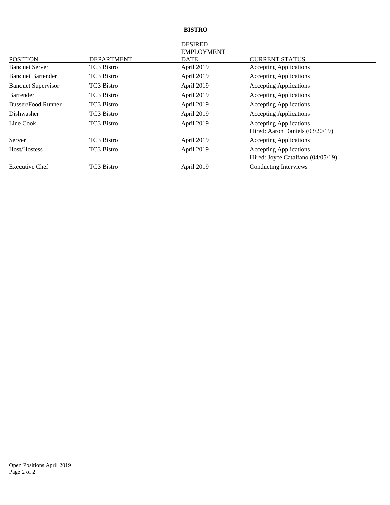#### **BISTRO**

|                           |                   | <b>DESIRED</b><br><b>EMPLOYMENT</b> |                                                                    |
|---------------------------|-------------------|-------------------------------------|--------------------------------------------------------------------|
| <b>POSITION</b>           | <b>DEPARTMENT</b> | DATE                                | <b>CURRENT STATUS</b>                                              |
| <b>Banquet Server</b>     | TC3 Bistro        | April 2019                          | <b>Accepting Applications</b>                                      |
| <b>Banquet Bartender</b>  | TC3 Bistro        | April 2019                          | <b>Accepting Applications</b>                                      |
| <b>Banquet Supervisor</b> | TC3 Bistro        | April 2019                          | <b>Accepting Applications</b>                                      |
| Bartender                 | TC3 Bistro        | April 2019                          | <b>Accepting Applications</b>                                      |
| <b>Busser/Food Runner</b> | TC3 Bistro        | April 2019                          | <b>Accepting Applications</b>                                      |
| Dishwasher                | TC3 Bistro        | April 2019                          | <b>Accepting Applications</b>                                      |
| Line Cook                 | TC3 Bistro        | April 2019                          | <b>Accepting Applications</b><br>Hired: Aaron Daniels (03/20/19)   |
| Server                    | TC3 Bistro        | April 2019                          | <b>Accepting Applications</b>                                      |
| Host/Hostess              | TC3 Bistro        | April 2019                          | <b>Accepting Applications</b><br>Hired: Joyce Catalfano (04/05/19) |
| <b>Executive Chef</b>     | TC3 Bistro        | April 2019                          | <b>Conducting Interviews</b>                                       |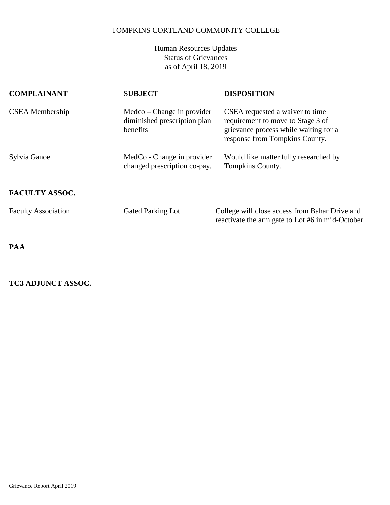# TOMPKINS CORTLAND COMMUNITY COLLEGE

Human Resources Updates Status of Grievances as of April 18, 2019

| <b>COMPLAINANT</b>         | <b>SUBJECT</b>                                                         | <b>DISPOSITION</b>                                                                                                                              |
|----------------------------|------------------------------------------------------------------------|-------------------------------------------------------------------------------------------------------------------------------------------------|
| CSEA Membership            | $Medco-Change$ in provider<br>diminished prescription plan<br>benefits | CSEA requested a waiver to time<br>requirement to move to Stage 3 of<br>grievance process while waiting for a<br>response from Tompkins County. |
| Sylvia Ganoe               | MedCo - Change in provider<br>changed prescription co-pay.             | Would like matter fully researched by<br>Tompkins County.                                                                                       |
| <b>FACULTY ASSOC.</b>      |                                                                        |                                                                                                                                                 |
| <b>Faculty Association</b> | <b>Gated Parking Lot</b>                                               | College will close access from Bahar Drive and<br>reactivate the arm gate to Lot #6 in mid-October.                                             |

**PAA**

# **TC3 ADJUNCT ASSOC.**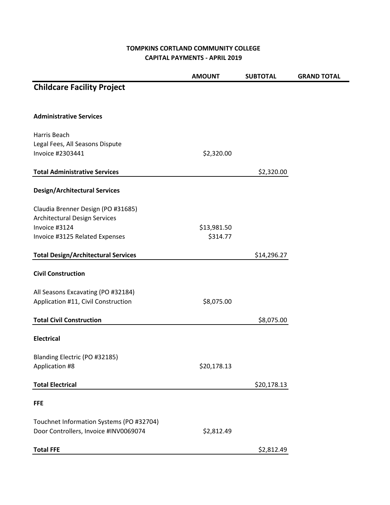## **TOMPKINS CORTLAND COMMUNITY COLLEGE CAPITAL PAYMENTS - APRIL 2019**

e.

|                                            | <b>AMOUNT</b> | <b>SUBTOTAL</b> | <b>GRAND TOTAL</b> |
|--------------------------------------------|---------------|-----------------|--------------------|
| <b>Childcare Facility Project</b>          |               |                 |                    |
| <b>Administrative Services</b>             |               |                 |                    |
| Harris Beach                               |               |                 |                    |
| Legal Fees, All Seasons Dispute            |               |                 |                    |
| Invoice #2303441                           | \$2,320.00    |                 |                    |
| <b>Total Administrative Services</b>       |               | \$2,320.00      |                    |
| <b>Design/Architectural Services</b>       |               |                 |                    |
| Claudia Brenner Design (PO #31685)         |               |                 |                    |
| Architectural Design Services              |               |                 |                    |
| Invoice #3124                              | \$13,981.50   |                 |                    |
| Invoice #3125 Related Expenses             | \$314.77      |                 |                    |
| <b>Total Design/Architectural Services</b> |               | \$14,296.27     |                    |
|                                            |               |                 |                    |
| <b>Civil Construction</b>                  |               |                 |                    |
| All Seasons Excavating (PO #32184)         |               |                 |                    |
| Application #11, Civil Construction        | \$8,075.00    |                 |                    |
| <b>Total Civil Construction</b>            |               | \$8,075.00      |                    |
| <b>Electrical</b>                          |               |                 |                    |
| Blanding Electric (PO #32185)              |               |                 |                    |
| Application #8                             | \$20,178.13   |                 |                    |
|                                            |               |                 |                    |
| <b>Total Electrical</b>                    |               | \$20,178.13     |                    |
| <b>FFE</b>                                 |               |                 |                    |
| Touchnet Information Systems (PO #32704)   |               |                 |                    |
| Door Controllers, Invoice #INV0069074      | \$2,812.49    |                 |                    |
| <b>Total FFE</b>                           |               | \$2,812.49      |                    |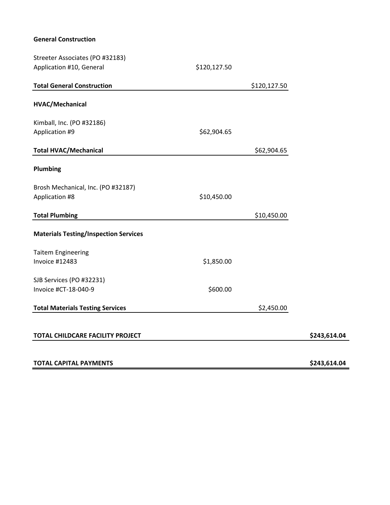## **General Construction**

| Streeter Associates (PO #32183)                      |              |              |              |
|------------------------------------------------------|--------------|--------------|--------------|
| Application #10, General                             | \$120,127.50 |              |              |
| <b>Total General Construction</b>                    |              | \$120,127.50 |              |
| HVAC/Mechanical                                      |              |              |              |
| Kimball, Inc. (PO #32186)                            |              |              |              |
| Application #9                                       | \$62,904.65  |              |              |
| <b>Total HVAC/Mechanical</b>                         |              | \$62,904.65  |              |
| Plumbing                                             |              |              |              |
| Brosh Mechanical, Inc. (PO #32187)<br>Application #8 | \$10,450.00  |              |              |
| <b>Total Plumbing</b>                                |              | \$10,450.00  |              |
| <b>Materials Testing/Inspection Services</b>         |              |              |              |
| <b>Taitem Engineering</b>                            |              |              |              |
| <b>Invoice #12483</b>                                | \$1,850.00   |              |              |
| SJB Services (PO #32231)                             |              |              |              |
| Invoice #CT-18-040-9                                 | \$600.00     |              |              |
| <b>Total Materials Testing Services</b>              |              | \$2,450.00   |              |
| TOTAL CHILDCARE FACILITY PROJECT                     |              |              | \$243,614.04 |
| <b>TOTAL CAPITAL PAYMENTS</b>                        |              |              | \$243,614.04 |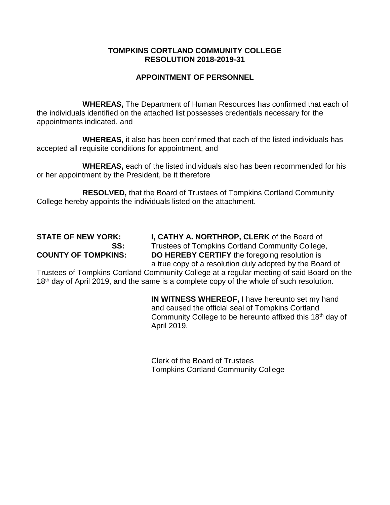# **TOMPKINS CORTLAND COMMUNITY COLLEGE RESOLUTION 2018-2019-31**

# **APPOINTMENT OF PERSONNEL**

**WHEREAS,** The Department of Human Resources has confirmed that each of the individuals identified on the attached list possesses credentials necessary for the appointments indicated, and

**WHEREAS,** it also has been confirmed that each of the listed individuals has accepted all requisite conditions for appointment, and

**WHEREAS,** each of the listed individuals also has been recommended for his or her appointment by the President, be it therefore

**RESOLVED,** that the Board of Trustees of Tompkins Cortland Community College hereby appoints the individuals listed on the attachment.

**STATE OF NEW YORK: I, CATHY A. NORTHROP, CLERK** of the Board of **SS:** Trustees of Tompkins Cortland Community College, **COUNTY OF TOMPKINS: DO HEREBY CERTIFY** the foregoing resolution is a true copy of a resolution duly adopted by the Board of

Trustees of Tompkins Cortland Community College at a regular meeting of said Board on the 18<sup>th</sup> day of April 2019, and the same is a complete copy of the whole of such resolution.

> **IN WITNESS WHEREOF,** I have hereunto set my hand and caused the official seal of Tompkins Cortland Community College to be hereunto affixed this 18<sup>th</sup> day of April 2019.

Clerk of the Board of Trustees Tompkins Cortland Community College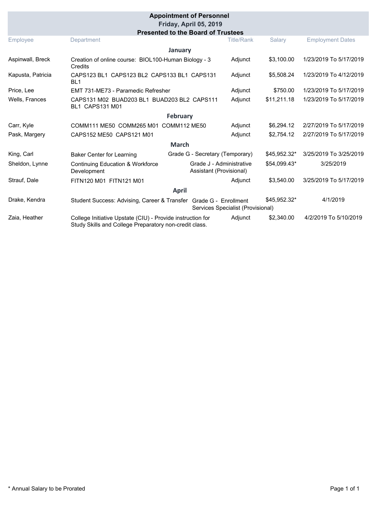|                   |                                                                                                                      | <b>Appointment of Personnel</b><br>Friday, April 05, 2019 |                                   |              |                         |
|-------------------|----------------------------------------------------------------------------------------------------------------------|-----------------------------------------------------------|-----------------------------------|--------------|-------------------------|
|                   |                                                                                                                      | <b>Presented to the Board of Trustees</b>                 |                                   |              |                         |
| Employee          | Department                                                                                                           |                                                           | <b>Title/Rank</b>                 | Salary       | <b>Employment Dates</b> |
|                   |                                                                                                                      | January                                                   |                                   |              |                         |
| Aspinwall, Breck  | Creation of online course: BIOL100-Human Biology - 3<br>Credits                                                      |                                                           | Adjunct                           | \$3,100.00   | 1/23/2019 To 5/17/2019  |
| Kapusta, Patricia | CAPS123 BL1 CAPS123 BL2 CAPS133 BL1 CAPS131<br>BL <sub>1</sub>                                                       |                                                           | Adjunct                           | \$5,508.24   | 1/23/2019 To 4/12/2019  |
| Price, Lee        | EMT 731-ME73 - Paramedic Refresher                                                                                   |                                                           | Adjunct                           | \$750.00     | 1/23/2019 To 5/17/2019  |
| Wells, Frances    | CAPS131 M02 BUAD203 BL1 BUAD203 BL2 CAPS111<br><b>BL1 CAPS131 M01</b>                                                |                                                           | Adjunct                           | \$11,211.18  | 1/23/2019 To 5/17/2019  |
|                   |                                                                                                                      | <b>February</b>                                           |                                   |              |                         |
| Carr, Kyle        | COMM111 ME50 COMM265 M01 COMM112 ME50                                                                                |                                                           | Adjunct                           | \$6,294.12   | 2/27/2019 To 5/17/2019  |
| Pask, Margery     | CAPS152 ME50 CAPS121 M01                                                                                             |                                                           | Adjunct                           | \$2,754.12   | 2/27/2019 To 5/17/2019  |
|                   |                                                                                                                      | <b>March</b>                                              |                                   |              |                         |
| King, Carl        | <b>Baker Center for Learning</b>                                                                                     | Grade G - Secretary (Temporary)                           |                                   | \$45,952.32* | 3/25/2019 To 3/25/2019  |
| Sheldon, Lynne    | <b>Continuing Education &amp; Workforce</b><br>Development                                                           | Grade J - Administrative<br>Assistant (Provisional)       |                                   | \$54,099.43* | 3/25/2019               |
| Strauf, Dale      | FITN120 M01 FITN121 M01                                                                                              |                                                           | Adjunct                           | \$3,540.00   | 3/25/2019 To 5/17/2019  |
| <b>April</b>      |                                                                                                                      |                                                           |                                   |              |                         |
| Drake, Kendra     | Student Success: Advising, Career & Transfer Grade G - Enrollment                                                    |                                                           | Services Specialist (Provisional) | \$45,952.32* | 4/1/2019                |
| Zaia, Heather     | College Initiative Upstate (CIU) - Provide instruction for<br>Study Skills and College Preparatory non-credit class. |                                                           | Adjunct                           | \$2,340.00   | 4/2/2019 To 5/10/2019   |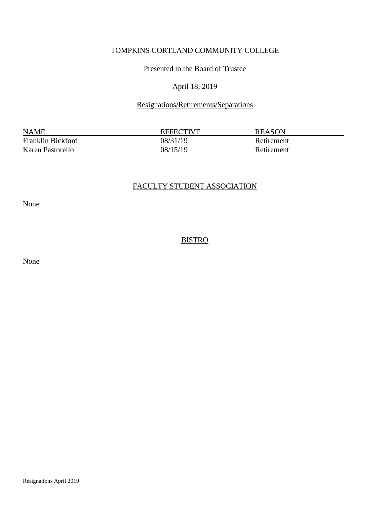# TOMPKINS CORTLAND COMMUNITY COLLEGE

Presented to the Board of Trustee

#### April 18, 2019

## Resignations/Retirements/Separations

NAME EFFECTIVE REASON Franklin Bickford 08/31/19 Retirement Karen Pastorello  $08/15/19$  Retirement

## FACULTY STUDENT ASSOCIATION

None

## **BISTRO**

None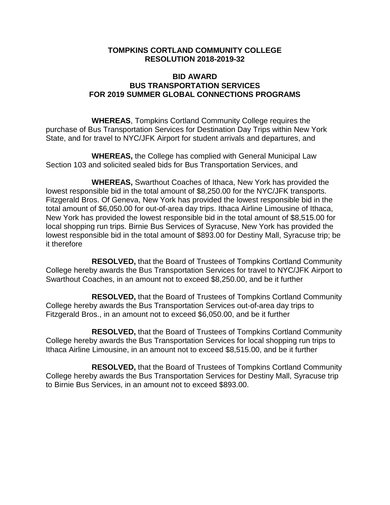## **TOMPKINS CORTLAND COMMUNITY COLLEGE RESOLUTION 2018-2019-32**

# **BID AWARD BUS TRANSPORTATION SERVICES FOR 2019 SUMMER GLOBAL CONNECTIONS PROGRAMS**

**WHEREAS**, Tompkins Cortland Community College requires the purchase of Bus Transportation Services for Destination Day Trips within New York State, and for travel to NYC/JFK Airport for student arrivals and departures, and

**WHEREAS,** the College has complied with General Municipal Law Section 103 and solicited sealed bids for Bus Transportation Services, and

**WHEREAS,** Swarthout Coaches of Ithaca, New York has provided the lowest responsible bid in the total amount of \$8,250.00 for the NYC/JFK transports. Fitzgerald Bros. Of Geneva, New York has provided the lowest responsible bid in the total amount of \$6,050.00 for out-of-area day trips. Ithaca Airline Limousine of Ithaca, New York has provided the lowest responsible bid in the total amount of \$8,515.00 for local shopping run trips. Birnie Bus Services of Syracuse, New York has provided the lowest responsible bid in the total amount of \$893.00 for Destiny Mall, Syracuse trip; be it therefore

**RESOLVED,** that the Board of Trustees of Tompkins Cortland Community College hereby awards the Bus Transportation Services for travel to NYC/JFK Airport to Swarthout Coaches, in an amount not to exceed \$8,250.00, and be it further

**RESOLVED,** that the Board of Trustees of Tompkins Cortland Community College hereby awards the Bus Transportation Services out-of-area day trips to Fitzgerald Bros., in an amount not to exceed \$6,050.00, and be it further

**RESOLVED,** that the Board of Trustees of Tompkins Cortland Community College hereby awards the Bus Transportation Services for local shopping run trips to Ithaca Airline Limousine, in an amount not to exceed \$8,515.00, and be it further

**RESOLVED,** that the Board of Trustees of Tompkins Cortland Community College hereby awards the Bus Transportation Services for Destiny Mall, Syracuse trip to Birnie Bus Services, in an amount not to exceed \$893.00.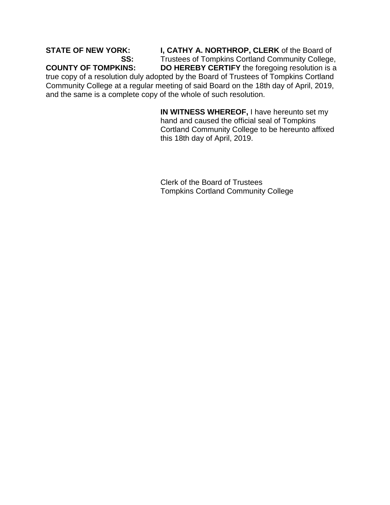**STATE OF NEW YORK: I, CATHY A. NORTHROP, CLERK** of the Board of **SS:** Trustees of Tompkins Cortland Community College, **COUNTY OF TOMPKINS: DO HEREBY CERTIFY** the foregoing resolution is a

true copy of a resolution duly adopted by the Board of Trustees of Tompkins Cortland Community College at a regular meeting of said Board on the 18th day of April, 2019, and the same is a complete copy of the whole of such resolution.

> **IN WITNESS WHEREOF,** I have hereunto set my hand and caused the official seal of Tompkins Cortland Community College to be hereunto affixed this 18th day of April, 2019.

Clerk of the Board of Trustees Tompkins Cortland Community College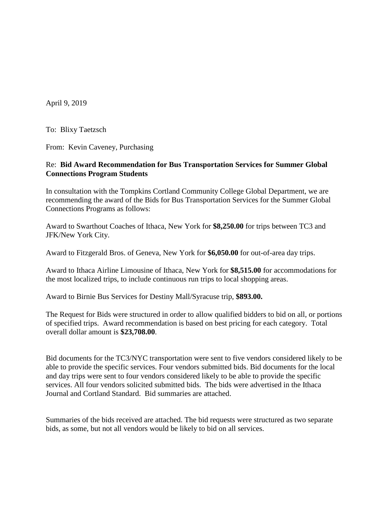April 9, 2019

To: Blixy Taetzsch

From: Kevin Caveney, Purchasing

#### Re: **Bid Award Recommendation for Bus Transportation Services for Summer Global Connections Program Students**

In consultation with the Tompkins Cortland Community College Global Department, we are recommending the award of the Bids for Bus Transportation Services for the Summer Global Connections Programs as follows:

Award to Swarthout Coaches of Ithaca, New York for **\$8,250.00** for trips between TC3 and JFK/New York City.

Award to Fitzgerald Bros. of Geneva, New York for **\$6,050.00** for out-of-area day trips.

Award to Ithaca Airline Limousine of Ithaca, New York for **\$8,515.00** for accommodations for the most localized trips, to include continuous run trips to local shopping areas.

Award to Birnie Bus Services for Destiny Mall/Syracuse trip, **\$893.00.**

The Request for Bids were structured in order to allow qualified bidders to bid on all, or portions of specified trips. Award recommendation is based on best pricing for each category. Total overall dollar amount is **\$23,708.00**.

Bid documents for the TC3/NYC transportation were sent to five vendors considered likely to be able to provide the specific services. Four vendors submitted bids. Bid documents for the local and day trips were sent to four vendors considered likely to be able to provide the specific services. All four vendors solicited submitted bids. The bids were advertised in the Ithaca Journal and Cortland Standard. Bid summaries are attached.

Summaries of the bids received are attached. The bid requests were structured as two separate bids, as some, but not all vendors would be likely to bid on all services.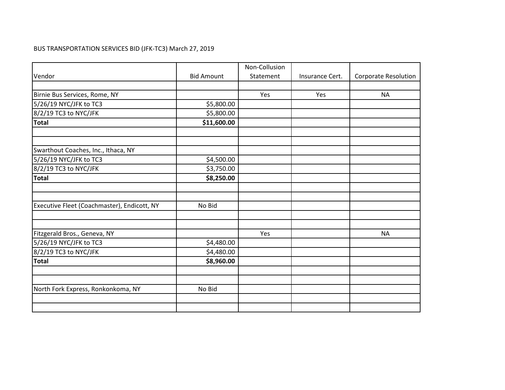# BUS TRANSPORTATION SERVICES BID (JFK-TC3) March 27, 2019

|                                             |                   | Non-Collusion |                 |                             |
|---------------------------------------------|-------------------|---------------|-----------------|-----------------------------|
| Vendor                                      | <b>Bid Amount</b> | Statement     | Insurance Cert. | <b>Corporate Resolution</b> |
|                                             |                   |               |                 |                             |
| Birnie Bus Services, Rome, NY               |                   | Yes           | Yes             | <b>NA</b>                   |
| 5/26/19 NYC/JFK to TC3                      | \$5,800.00        |               |                 |                             |
| 8/2/19 TC3 to NYC/JFK                       | \$5,800.00        |               |                 |                             |
| <b>Total</b>                                | \$11,600.00       |               |                 |                             |
|                                             |                   |               |                 |                             |
|                                             |                   |               |                 |                             |
| Swarthout Coaches, Inc., Ithaca, NY         |                   |               |                 |                             |
| 5/26/19 NYC/JFK to TC3                      | \$4,500.00        |               |                 |                             |
| 8/2/19 TC3 to NYC/JFK                       | \$3,750.00        |               |                 |                             |
| <b>Total</b>                                | \$8,250.00        |               |                 |                             |
|                                             |                   |               |                 |                             |
|                                             |                   |               |                 |                             |
| Executive Fleet (Coachmaster), Endicott, NY | No Bid            |               |                 |                             |
|                                             |                   |               |                 |                             |
|                                             |                   |               |                 |                             |
| Fitzgerald Bros., Geneva, NY                |                   | Yes           |                 | <b>NA</b>                   |
| 5/26/19 NYC/JFK to TC3                      | \$4,480.00        |               |                 |                             |
| 8/2/19 TC3 to NYC/JFK                       | \$4,480.00        |               |                 |                             |
| <b>Total</b>                                | \$8,960.00        |               |                 |                             |
|                                             |                   |               |                 |                             |
|                                             |                   |               |                 |                             |
| North Fork Express, Ronkonkoma, NY          | No Bid            |               |                 |                             |
|                                             |                   |               |                 |                             |
|                                             |                   |               |                 |                             |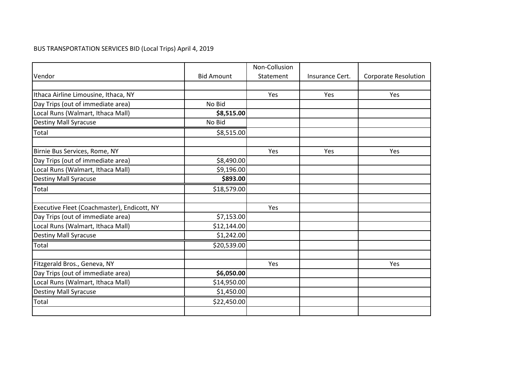# BUS TRANSPORTATION SERVICES BID (Local Trips) April 4, 2019

|                                             |                   | Non-Collusion |                 |                             |
|---------------------------------------------|-------------------|---------------|-----------------|-----------------------------|
| Vendor                                      | <b>Bid Amount</b> | Statement     | Insurance Cert. | <b>Corporate Resolution</b> |
|                                             |                   |               |                 |                             |
| Ithaca Airline Limousine, Ithaca, NY        |                   | Yes           | Yes             | Yes                         |
| Day Trips (out of immediate area)           | No Bid            |               |                 |                             |
| Local Runs (Walmart, Ithaca Mall)           | \$8,515.00        |               |                 |                             |
| <b>Destiny Mall Syracuse</b>                | No Bid            |               |                 |                             |
| Total                                       | \$8,515.00        |               |                 |                             |
|                                             |                   |               |                 |                             |
| Birnie Bus Services, Rome, NY               |                   | Yes           | Yes             | Yes                         |
| Day Trips (out of immediate area)           | \$8,490.00        |               |                 |                             |
| Local Runs (Walmart, Ithaca Mall)           | \$9,196.00        |               |                 |                             |
| <b>Destiny Mall Syracuse</b>                | \$893.00          |               |                 |                             |
| Total                                       | \$18,579.00       |               |                 |                             |
|                                             |                   |               |                 |                             |
| Executive Fleet (Coachmaster), Endicott, NY |                   | Yes           |                 |                             |
| Day Trips (out of immediate area)           | \$7,153.00        |               |                 |                             |
| Local Runs (Walmart, Ithaca Mall)           | \$12,144.00       |               |                 |                             |
| <b>Destiny Mall Syracuse</b>                | \$1,242.00        |               |                 |                             |
| Total                                       | \$20,539.00       |               |                 |                             |
| Fitzgerald Bros., Geneva, NY                |                   | Yes           |                 | Yes                         |
| Day Trips (out of immediate area)           | \$6,050.00        |               |                 |                             |
| Local Runs (Walmart, Ithaca Mall)           | \$14,950.00       |               |                 |                             |
| <b>Destiny Mall Syracuse</b>                | \$1,450.00        |               |                 |                             |
|                                             |                   |               |                 |                             |
| Total                                       | \$22,450.00       |               |                 |                             |
|                                             |                   |               |                 |                             |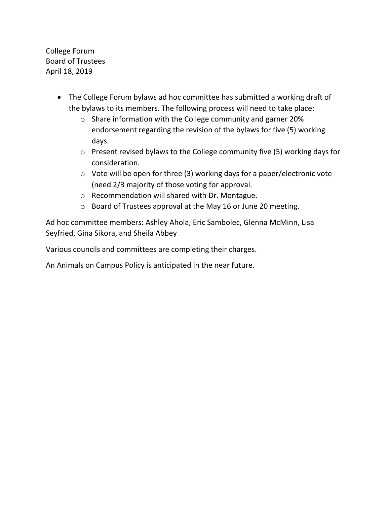College Forum Board of Trustees April 18, 2019

- The College Forum bylaws ad hoc committee has submitted a working draft of the bylaws to its members. The following process will need to take place:
	- o Share information with the College community and garner 20% endorsement regarding the revision of the bylaws for five (5) working days.
	- o Present revised bylaws to the College community five (5) working days for consideration.
	- o Vote will be open for three (3) working days for a paper/electronic vote (need 2/3 majority of those voting for approval.
	- o Recommendation will shared with Dr. Montague.
	- o Board of Trustees approval at the May 16 or June 20 meeting.

Ad hoc committee members: Ashley Ahola, Eric Sambolec, Glenna McMinn, Lisa Seyfried, Gina Sikora, and Sheila Abbey

Various councils and committees are completing their charges.

An Animals on Campus Policy is anticipated in the near future.